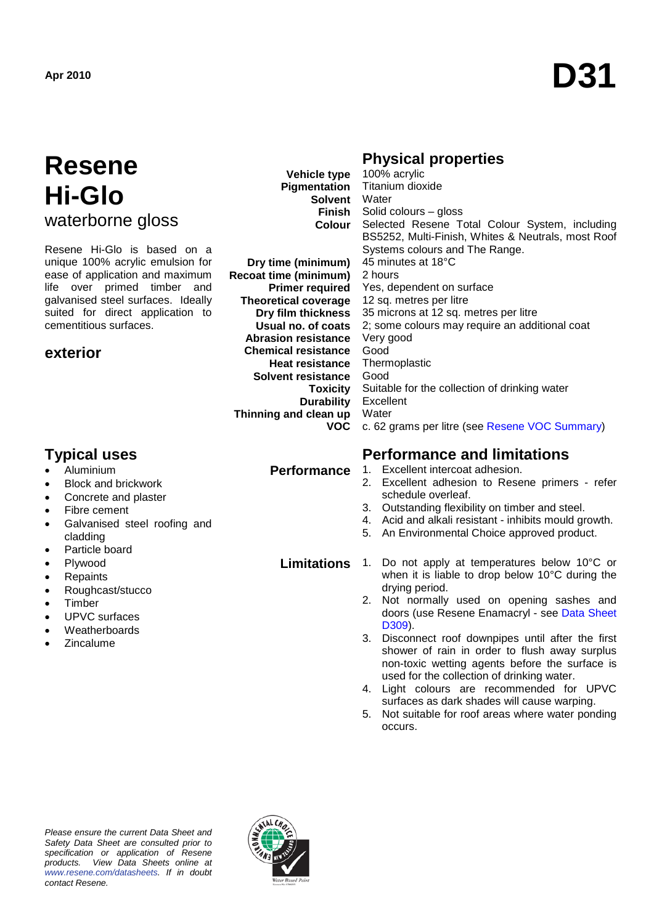# **Resene Hi-Glo**  waterborne gloss

Resene Hi-Glo is based on a unique 100% acrylic emulsion for ease of application and maximum life over primed timber and galvanised steel surfaces. Ideally suited for direct application to cementitious surfaces.

### **exterior**

#### **Vehicle type Pigmentation Solvent** Water **Finish Colour** 100% acrylic

**Dry time (minimum) Recoat time (minimum) Primer required Theoretical coverage Dry film thickness Usual no. of coats Abrasion resistance Chemical resistance Heat resistance Solvent resistance Toxicity Durability Thinning and clean up VOC**

Titanium dioxide Solid colours – gloss Selected Resene Total Colour System, including BS5252, Multi-Finish, Whites & Neutrals, most Roof Systems colours and The Range. 45 minutes at 18°C 2 hours Yes, dependent on surface 12 sq. metres per litre 35 microns at 12 sq. metres per litre 2; some colours may require an additional coat Very good Good Thermoplastic Good Suitable for the collection of drinking water Excellent **Water** c. 62 grams per litre (see [Resene VOC Summary\)](http://www.resene.co.nz/archspec/datashts/vocsummary.pdf)

- Aluminium
- Block and brickwork
- Concrete and plaster
- Fibre cement
- Galvanised steel roofing and cladding
- Particle board
- Plywood
- Repaints
- Roughcast/stucco
- **Timber**
- UPVC surfaces
- **Weatherboards**
- **Zincalume**

# **Typical uses Performance and limitations**

**Performance** 1. Excellent intercoat adhesion.

**Physical properties** 

- 2. Excellent adhesion to Resene primers refer schedule overleaf.
- 3. Outstanding flexibility on timber and steel.
- 4. Acid and alkali resistant inhibits mould growth.
- 5. An Environmental Choice approved product.

#### **Limitations** 1. Do not apply at temperatures below 10°C or when it is liable to drop below 10°C during the drying period.

- 2. Not normally used on opening sashes and doors (use Resene Enamacryl - see [Data Sheet](http://www.resene.co.nz/archspec/datashts/d309_Enamacryl_WB_Enamel.pdf)  [D309\)](http://www.resene.co.nz/archspec/datashts/d309_Enamacryl_WB_Enamel.pdf).
- 3. Disconnect roof downpipes until after the first shower of rain in order to flush away surplus non-toxic wetting agents before the surface is used for the collection of drinking water.
- 4. Light colours are recommended for UPVC surfaces as dark shades will cause warping.
- 5. Not suitable for roof areas where water ponding occurs.